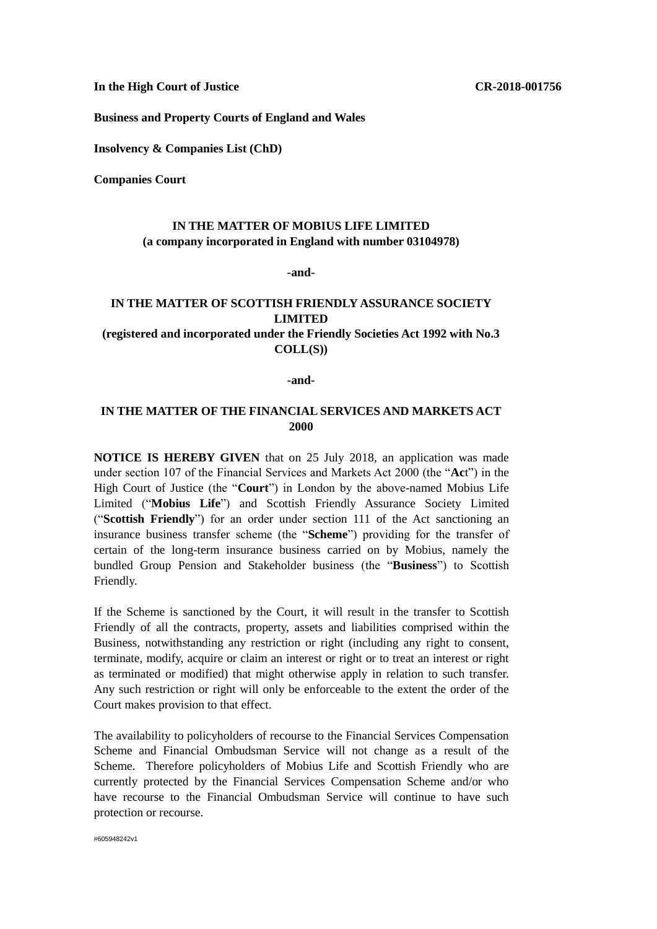**In the High Court of Justice CR-2018-001756**

**Business and Property Courts of England and Wales**

**Insolvency & Companies List (ChD)**

**Companies Court** 

## **IN THE MATTER OF MOBIUS LIFE LIMITED (a company incorporated in England with number 03104978)**

**-and-**

## **IN THE MATTER OF SCOTTISH FRIENDLY ASSURANCE SOCIETY LIMITED (registered and incorporated under the Friendly Societies Act 1992 with No.3**

**COLL(S))**

## **-and-**

## **IN THE MATTER OF THE FINANCIAL SERVICES AND MARKETS ACT 2000**

**NOTICE IS HEREBY GIVEN** that on 25 July 2018, an application was made under section 107 of the Financial Services and Markets Act 2000 (the "**Ac**t") in the High Court of Justice (the "**Court**") in London by the above-named Mobius Life Limited ("**Mobius Life**") and Scottish Friendly Assurance Society Limited ("**Scottish Friendly**") for an order under section 111 of the Act sanctioning an insurance business transfer scheme (the "**Scheme**") providing for the transfer of certain of the long-term insurance business carried on by Mobius, namely the bundled Group Pension and Stakeholder business (the "**Business**") to Scottish Friendly.

If the Scheme is sanctioned by the Court, it will result in the transfer to Scottish Friendly of all the contracts, property, assets and liabilities comprised within the Business, notwithstanding any restriction or right (including any right to consent, terminate, modify, acquire or claim an interest or right or to treat an interest or right as terminated or modified) that might otherwise apply in relation to such transfer. Any such restriction or right will only be enforceable to the extent the order of the Court makes provision to that effect.

The availability to policyholders of recourse to the Financial Services Compensation Scheme and Financial Ombudsman Service will not change as a result of the Scheme. Therefore policyholders of Mobius Life and Scottish Friendly who are currently protected by the Financial Services Compensation Scheme and/or who have recourse to the Financial Ombudsman Service will continue to have such protection or recourse.

#605948242v1